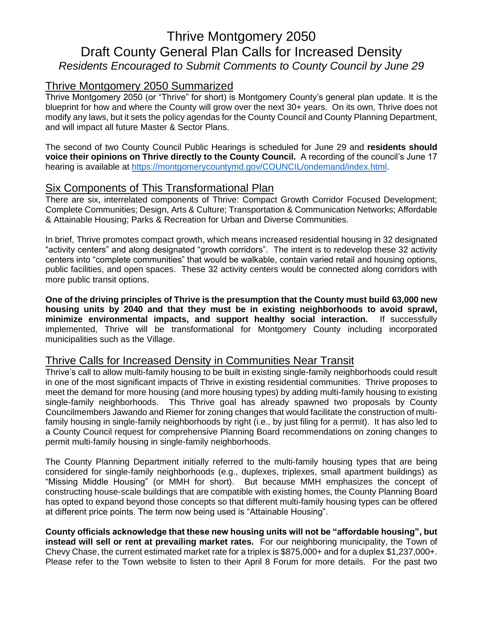# Thrive Montgomery 2050 Draft County General Plan Calls for Increased Density *Residents Encouraged to Submit Comments to County Council by June 29*

## Thrive Montgomery 2050 Summarized

Thrive Montgomery 2050 (or "Thrive" for short) is Montgomery County's general plan update. It is the blueprint for how and where the County will grow over the next 30+ years. On its own, Thrive does not modify any laws, but it sets the policy agendas for the County Council and County Planning Department, and will impact all future Master & Sector Plans.

The second of two County Council Public Hearings is scheduled for June 29 and **residents should voice their opinions on Thrive directly to the County Council.** A recording of the council's June 17 hearing is available at [https://montgomerycountymd.gov/COUNCIL/ondemand/index.html.](https://montgomerycountymd.gov/COUNCIL/ondemand/index.html)

### Six Components of This Transformational Plan

There are six, interrelated components of Thrive: Compact Growth Corridor Focused Development; Complete Communities; Design, Arts & Culture; Transportation & Communication Networks; Affordable & Attainable Housing; Parks & Recreation for Urban and Diverse Communities.

In brief, Thrive promotes compact growth, which means increased residential housing in 32 designated "activity centers" and along designated "growth corridors". The intent is to redevelop these 32 activity centers into "complete communities" that would be walkable, contain varied retail and housing options, public facilities, and open spaces. These 32 activity centers would be connected along corridors with more public transit options.

**One of the driving principles of Thrive is the presumption that the County must build 63,000 new housing units by 2040 and that they must be in existing neighborhoods to avoid sprawl, minimize environmental impacts, and support healthy social interaction.** If successfully implemented, Thrive will be transformational for Montgomery County including incorporated municipalities such as the Village.

## Thrive Calls for Increased Density in Communities Near Transit

Thrive's call to allow multi-family housing to be built in existing single-family neighborhoods could result in one of the most significant impacts of Thrive in existing residential communities. Thrive proposes to meet the demand for more housing (and more housing types) by adding multi-family housing to existing single-family neighborhoods. This Thrive goal has already spawned two proposals by County Councilmembers Jawando and Riemer for zoning changes that would facilitate the construction of multifamily housing in single-family neighborhoods by right (i.e., by just filing for a permit). It has also led to a County Council request for comprehensive Planning Board recommendations on zoning changes to permit multi-family housing in single-family neighborhoods.

The County Planning Department initially referred to the multi-family housing types that are being considered for single-family neighborhoods (e.g., duplexes, triplexes, small apartment buildings) as "Missing Middle Housing" (or MMH for short). But because MMH emphasizes the concept of constructing house-scale buildings that are compatible with existing homes, the County Planning Board has opted to expand beyond those concepts so that different multi-family housing types can be offered at different price points. The term now being used is "Attainable Housing".

**County officials acknowledge that these new housing units will not be "affordable housing", but instead will sell or rent at prevailing market rates.** For our neighboring municipality, the Town of Chevy Chase, the current estimated market rate for a triplex is \$875,000+ and for a duplex \$1,237,000+. Please refer to the Town website to listen to their April 8 Forum for more details. For the past two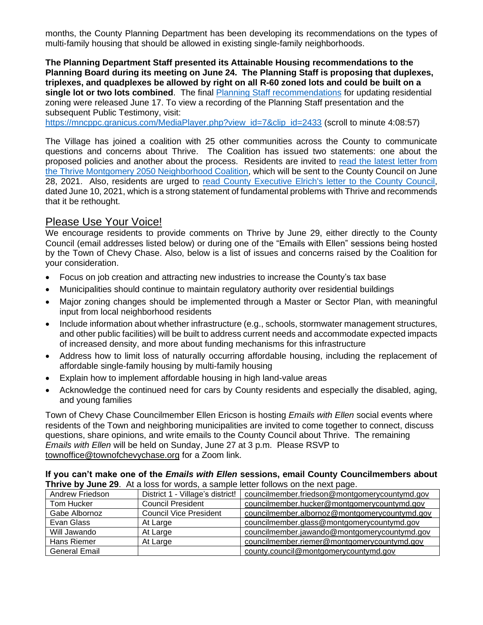months, the County Planning Department has been developing its recommendations on the types of multi-family housing that should be allowed in existing single-family neighborhoods.

**The Planning Department Staff presented its Attainable Housing recommendations to the Planning Board during its meeting on June 24. The Planning Staff is proposing that duplexes, triplexes, and quadplexes be allowed by right on all R-60 zoned lots and could be built on a single lot or two lots combined**. The final [Planning Staff recommendations](https://montgomeryplanningboard.org/wp-content/uploads/2021/06/item7_Attainable-Housing-Strategies-06.17.21_Final.pdf) for updating residential zoning were released June 17. To view a recording of the Planning Staff presentation and the subsequent Public Testimony, visit:

[https://mncppc.granicus.com/MediaPlayer.php?view\\_id=7&clip\\_id=2433](https://mncppc.granicus.com/MediaPlayer.php?view_id=7&clip_id=2433) (scroll to minute 4:08:57)

The Village has joined a coalition with 25 other communities across the County to communicate questions and concerns about Thrive. The Coalition has issued two statements: one about the proposed policies and another about the process. Residents are invited to [read the latest letter from](https://nam11.safelinks.protection.outlook.com/?url=https%3A%2F%2Fwww.townofchevychase.org%2FDocumentCenter%2FView%2F3300%2FDraft-Coalition-Letter&data=04%7C01%7Cthoffman%40townofchevychase.org%7Cbaf94c0416744d543fa808d92f3f7f45%7C12c45a916d14483bbc090837b6e229f3%7C1%7C0%7C637592772810971921%7CUnknown%7CTWFpbGZsb3d8eyJWIjoiMC4wLjAwMDAiLCJQIjoiV2luMzIiLCJBTiI6Ik1haWwiLCJXVCI6Mn0%3D%7C2000&sdata=B1Q3X1gVn4Gfl99Eh6ZncDdGHGY4UyWa93kqNeLfsHk%3D&reserved=0)  [the Thrive Montgomery 2050 Neighborhood Coalition,](https://nam11.safelinks.protection.outlook.com/?url=https%3A%2F%2Fwww.townofchevychase.org%2FDocumentCenter%2FView%2F3300%2FDraft-Coalition-Letter&data=04%7C01%7Cthoffman%40townofchevychase.org%7Cbaf94c0416744d543fa808d92f3f7f45%7C12c45a916d14483bbc090837b6e229f3%7C1%7C0%7C637592772810971921%7CUnknown%7CTWFpbGZsb3d8eyJWIjoiMC4wLjAwMDAiLCJQIjoiV2luMzIiLCJBTiI6Ik1haWwiLCJXVCI6Mn0%3D%7C2000&sdata=B1Q3X1gVn4Gfl99Eh6ZncDdGHGY4UyWa93kqNeLfsHk%3D&reserved=0) which will be sent to the County Council on June 28, 2021. Also, residents are urged to [read County Executive Elrich's](https://nam11.safelinks.protection.outlook.com/?url=https%3A%2F%2Fwww.townofchevychase.org%2FDocumentCenter%2FView%2F3298%2FCounty-Executive-Letter&data=04%7C01%7Cthoffman%40townofchevychase.org%7Cbaf94c0416744d543fa808d92f3f7f45%7C12c45a916d14483bbc090837b6e229f3%7C1%7C0%7C637592772810981877%7CUnknown%7CTWFpbGZsb3d8eyJWIjoiMC4wLjAwMDAiLCJQIjoiV2luMzIiLCJBTiI6Ik1haWwiLCJXVCI6Mn0%3D%7C2000&sdata=hI39LP2rKxFY5UP1zDomwGVG6YgUhDiHluLIitF12Iw%3D&reserved=0) letter to the County Council, dated June 10, 2021, which is a strong statement of fundamental problems with Thrive and recommends that it be rethought.

#### Please Use Your Voice!

We encourage residents to provide comments on Thrive by June 29, either directly to the County Council (email addresses listed below) or during one of the "Emails with Ellen" sessions being hosted by the Town of Chevy Chase. Also, below is a list of issues and concerns raised by the Coalition for your consideration.

- Focus on job creation and attracting new industries to increase the County's tax base
- Municipalities should continue to maintain regulatory authority over residential buildings
- Major zoning changes should be implemented through a Master or Sector Plan, with meaningful input from local neighborhood residents
- Include information about whether infrastructure (e.g., schools, stormwater management structures, and other public facilities) will be built to address current needs and accommodate expected impacts of increased density, and more about funding mechanisms for this infrastructure
- Address how to limit loss of naturally occurring affordable housing, including the replacement of affordable single-family housing by multi-family housing
- Explain how to implement affordable housing in high land-value areas
- Acknowledge the continued need for cars by County residents and especially the disabled, aging, and young families

Town of Chevy Chase Councilmember Ellen Ericson is hosting *Emails with Ellen* social events where residents of the Town and neighboring municipalities are invited to come together to connect, discuss questions, share opinions, and write emails to the County Council about Thrive. The remaining *Emails with Ellen* will be held on Sunday, June 27 at 3 p.m. Please RSVP to [townoffice@townofchevychase.org](mailto:townoffice@townofchevychase.org) for a Zoom link.

**If you can't make one of the** *Emails with Ellen* **sessions, email County Councilmembers about Thrive by June 29**. At a loss for words, a sample letter follows on the next page.

| Andrew Friedson      | District 1 - Village's district! | councilmember.friedson@montgomerycountymd.gov |
|----------------------|----------------------------------|-----------------------------------------------|
| Tom Hucker           | <b>Council President</b>         | councilmember.hucker@montgomerycountymd.gov   |
| Gabe Albornoz        | <b>Council Vice President</b>    | councilmember.albornoz@montgomerycountymd.gov |
| Evan Glass           | At Large                         | councilmember.glass@montgomerycountymd.gov    |
| Will Jawando         | At Large                         | councilmember.jawando@montgomerycountymd.gov  |
| Hans Riemer          | At Large                         | councilmember.riemer@montgomerycountymd.gov   |
| <b>General Email</b> |                                  | county.council@montgomerycountymd.gov         |